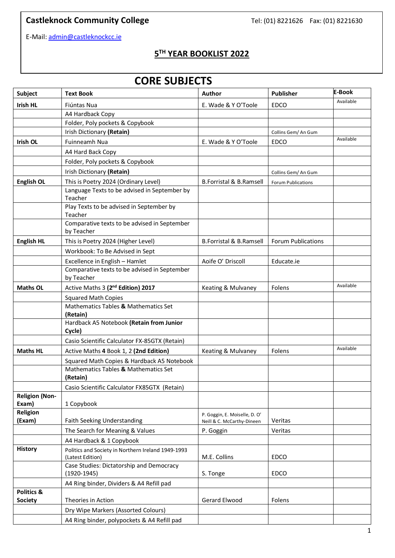## **Castleknock Community College Tel:** (01) 8221626 Fax: (01) 8221630

E-Mail: [admin@castleknockcc.ie](mailto:admin@castleknockcc.ie)

#### **5 TH YEAR BOOKLIST 2022**

# **CORE SUBJECTS**

| <b>Subject</b>               | Text Book                                                  | Author                                                      | <b>Publisher</b>          | E-Book    |
|------------------------------|------------------------------------------------------------|-------------------------------------------------------------|---------------------------|-----------|
| <b>Irish HL</b>              | Fiúntas Nua                                                | E. Wade & Y O'Toole                                         | <b>EDCO</b>               | Available |
|                              | A4 Hardback Copy                                           |                                                             |                           |           |
|                              | Folder, Poly pockets & Copybook                            |                                                             |                           |           |
|                              | Irish Dictionary (Retain)                                  |                                                             | Collins Gem/ An Gum       |           |
| <b>Irish OL</b>              | Fuinneamh Nua                                              | E. Wade & Y O'Toole                                         | <b>EDCO</b>               | Available |
|                              | A4 Hard Back Copy                                          |                                                             |                           |           |
|                              | Folder, Poly pockets & Copybook                            |                                                             |                           |           |
|                              | Irish Dictionary (Retain)                                  |                                                             | Collins Gem/ An Gum       |           |
| <b>English OL</b>            | This is Poetry 2024 (Ordinary Level)                       | <b>B.Forristal &amp; B.Ramsell</b>                          | <b>Forum Publications</b> |           |
|                              | Language Texts to be advised in September by<br>Teacher    |                                                             |                           |           |
|                              | Play Texts to be advised in September by<br>Teacher        |                                                             |                           |           |
|                              | Comparative texts to be advised in September<br>by Teacher |                                                             |                           |           |
| <b>English HL</b>            | This is Poetry 2024 (Higher Level)                         | <b>B.Forristal &amp; B.Ramsell</b>                          | <b>Forum Publications</b> |           |
|                              | Workbook: To Be Advised in Sept                            |                                                             |                           |           |
|                              | Excellence in English - Hamlet                             | Aoife O' Driscoll                                           | Educate.ie                |           |
|                              | Comparative texts to be advised in September<br>by Teacher |                                                             |                           |           |
| <b>Maths OL</b>              | Active Maths 3 (2 <sup>nd</sup> Edition) 2017              | Keating & Mulvaney                                          | Folens                    | Available |
|                              | <b>Squared Math Copies</b>                                 |                                                             |                           |           |
|                              | Mathematics Tables & Mathematics Set<br>(Retain)           |                                                             |                           |           |
|                              | Hardback A5 Notebook (Retain from Junior<br>Cycle)         |                                                             |                           |           |
|                              | Casio Scientific Calculator FX-85GTX (Retain)              |                                                             |                           |           |
| <b>Maths HL</b>              | Active Maths 4 Book 1, 2 (2nd Edition)                     | Keating & Mulvaney                                          | Folens                    | Available |
|                              | Squared Math Copies & Hardback A5 Notebook                 |                                                             |                           |           |
|                              | Mathematics Tables & Mathematics Set<br>(Retain)           |                                                             |                           |           |
|                              | Casio Scientific Calculator FX85GTX (Retain)               |                                                             |                           |           |
| <b>Religion (Non-</b>        |                                                            |                                                             |                           |           |
| Exam)<br>Religion            | 1 Copybook                                                 |                                                             |                           |           |
| (Exam)                       | Faith Seeking Understanding                                | P. Goggin, E. Moiselle, D. O'<br>Neill & C. McCarthy-Dineen | Veritas                   |           |
|                              | The Search for Meaning & Values                            | P. Goggin                                                   | Veritas                   |           |
|                              | A4 Hardback & 1 Copybook                                   |                                                             |                           |           |
| <b>History</b>               | Politics and Society in Northern Ireland 1949-1993         |                                                             |                           |           |
|                              | (Latest Edition)                                           | M.E. Collins                                                | <b>EDCO</b>               |           |
|                              | Case Studies: Dictatorship and Democracy                   |                                                             |                           |           |
|                              | $(1920 - 1945)$                                            | S. Tonge                                                    | <b>EDCO</b>               |           |
|                              | A4 Ring binder, Dividers & A4 Refill pad                   |                                                             |                           |           |
| Politics &<br><b>Society</b> | Theories in Action                                         | Gerard Elwood                                               | Folens                    |           |
|                              |                                                            |                                                             |                           |           |
|                              | Dry Wipe Markers (Assorted Colours)                        |                                                             |                           |           |
|                              | A4 Ring binder, polypockets & A4 Refill pad                |                                                             |                           |           |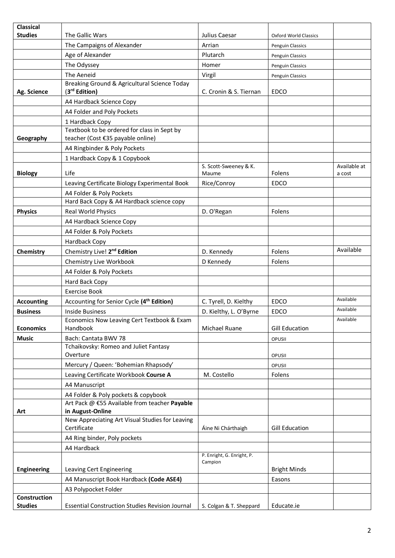| <b>Classical</b>   |                                                                           |                                       |                              |                        |
|--------------------|---------------------------------------------------------------------------|---------------------------------------|------------------------------|------------------------|
| <b>Studies</b>     | The Gallic Wars                                                           | Julius Caesar                         | <b>Oxford World Classics</b> |                        |
|                    | The Campaigns of Alexander                                                | Arrian                                | Penguin Classics             |                        |
|                    | Age of Alexander                                                          | Plutarch                              | Penguin Classics             |                        |
|                    | The Odyssey                                                               | Homer                                 | Penguin Classics             |                        |
|                    | The Aeneid                                                                | Virgil                                | Penguin Classics             |                        |
| Ag. Science        | Breaking Ground & Agricultural Science Today<br>(3 <sup>rd</sup> Edition) | C. Cronin & S. Tiernan                | <b>EDCO</b>                  |                        |
|                    | A4 Hardback Science Copy                                                  |                                       |                              |                        |
|                    | A4 Folder and Poly Pockets                                                |                                       |                              |                        |
|                    | 1 Hardback Copy                                                           |                                       |                              |                        |
|                    | Textbook to be ordered for class in Sept by                               |                                       |                              |                        |
| Geography          | teacher (Cost €35 payable online)                                         |                                       |                              |                        |
|                    | A4 Ringbinder & Poly Pockets                                              |                                       |                              |                        |
|                    | 1 Hardback Copy & 1 Copybook                                              |                                       |                              |                        |
| <b>Biology</b>     | Life                                                                      | S. Scott-Sweeney & K.<br>Maume        | Folens                       | Available at<br>a cost |
|                    | Leaving Certificate Biology Experimental Book                             | Rice/Conroy                           | <b>EDCO</b>                  |                        |
|                    | A4 Folder & Poly Pockets                                                  |                                       |                              |                        |
|                    | Hard Back Copy & A4 Hardback science copy                                 |                                       |                              |                        |
| <b>Physics</b>     | Real World Physics                                                        | D. O'Regan                            | Folens                       |                        |
|                    | A4 Hardback Science Copy                                                  |                                       |                              |                        |
|                    | A4 Folder & Poly Pockets                                                  |                                       |                              |                        |
|                    | Hardback Copy                                                             |                                       |                              |                        |
| Chemistry          | Chemistry Live! 2 <sup>nd</sup> Edition                                   | D. Kennedy                            | Folens                       | Available              |
|                    | Chemistry Live Workbook                                                   | D Kennedy                             | Folens                       |                        |
|                    | A4 Folder & Poly Pockets                                                  |                                       |                              |                        |
|                    | Hard Back Copy                                                            |                                       |                              |                        |
|                    | <b>Exercise Book</b>                                                      |                                       |                              |                        |
| <b>Accounting</b>  | Accounting for Senior Cycle (4 <sup>th</sup> Edition)                     | C. Tyrell, D. Kielthy                 | <b>EDCO</b>                  | Available              |
| <b>Business</b>    | <b>Inside Business</b>                                                    | D. Kielthy, L. O'Byrne                | EDCO                         | Available              |
| <b>Economics</b>   | Economics Now Leaving Cert Textbook & Exam<br>Handbook                    | Michael Ruane                         | <b>Gill Education</b>        | Available              |
| <b>Music</b>       | Bach: Cantata BWV 78                                                      |                                       | OPUSII                       |                        |
|                    | Tchaikovsky: Romeo and Juliet Fantasy<br>Overture                         |                                       | OPUSII                       |                        |
|                    | Mercury / Queen: 'Bohemian Rhapsody'                                      |                                       | OPUSII                       |                        |
|                    | Leaving Certificate Workbook Course A                                     | M. Costello                           | Folens                       |                        |
|                    | A4 Manuscript                                                             |                                       |                              |                        |
|                    | A4 Folder & Poly pockets & copybook                                       |                                       |                              |                        |
|                    | Art Pack @ €55 Available from teacher Payable                             |                                       |                              |                        |
| Art                | in August-Online                                                          |                                       |                              |                        |
|                    | New Appreciating Art Visual Studies for Leaving<br>Certificate            | Áine Ni Chárthaigh                    | <b>Gill Education</b>        |                        |
|                    | A4 Ring binder, Poly pockets                                              |                                       |                              |                        |
|                    | A4 Hardback                                                               |                                       |                              |                        |
|                    |                                                                           | P. Enright, G. Enright, P.<br>Campion |                              |                        |
| <b>Engineering</b> | Leaving Cert Engineering                                                  |                                       | <b>Bright Minds</b>          |                        |
|                    | A4 Manuscript Book Hardback (Code ASE4)                                   |                                       | Easons                       |                        |
| Construction       | A3 Polypocket Folder                                                      |                                       |                              |                        |
| <b>Studies</b>     | <b>Essential Construction Studies Revision Journal</b>                    | S. Colgan & T. Sheppard               | Educate.ie                   |                        |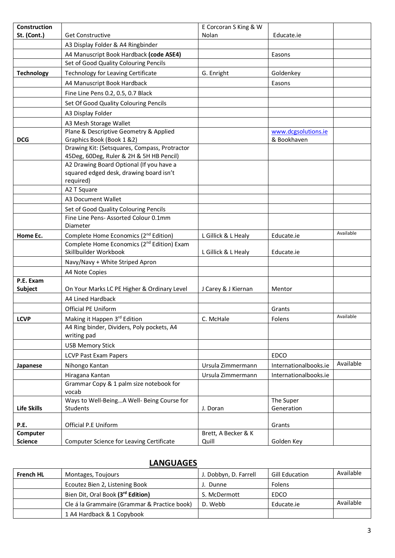| Construction       |                                                                                                             | E Corcoran S King & W |                       |           |
|--------------------|-------------------------------------------------------------------------------------------------------------|-----------------------|-----------------------|-----------|
| St. (Cont.)        | <b>Get Constructive</b>                                                                                     | Nolan                 | Educate.ie            |           |
|                    | A3 Display Folder & A4 Ringbinder                                                                           |                       |                       |           |
|                    | A4 Manuscript Book Hardback (code ASE4)                                                                     |                       | Easons                |           |
|                    | Set of Good Quality Colouring Pencils                                                                       |                       |                       |           |
| <b>Technology</b>  | Technology for Leaving Certificate                                                                          | G. Enright            | Goldenkey             |           |
|                    | A4 Manuscript Book Hardback                                                                                 |                       | Easons                |           |
|                    | Fine Line Pens 0.2, 0.5, 0.7 Black                                                                          |                       |                       |           |
|                    | Set Of Good Quality Colouring Pencils                                                                       |                       |                       |           |
|                    | A3 Display Folder                                                                                           |                       |                       |           |
|                    | A3 Mesh Storage Wallet                                                                                      |                       |                       |           |
|                    | Plane & Descriptive Geometry & Applied                                                                      |                       | www.dcgsolutions.ie   |           |
| <b>DCG</b>         | Graphics Book (Book 1 &2)                                                                                   |                       | & Bookhaven           |           |
|                    | Drawing Kit: (Setsquares, Compass, Protractor                                                               |                       |                       |           |
|                    | 45Deg, 60Deg, Ruler & 2H & 5H HB Pencil)<br>A2 Drawing Board Optional (If you have a                        |                       |                       |           |
|                    | squared edged desk, drawing board isn't                                                                     |                       |                       |           |
|                    | required)                                                                                                   |                       |                       |           |
|                    | A2 T Square                                                                                                 |                       |                       |           |
|                    | A3 Document Wallet                                                                                          |                       |                       |           |
|                    | Set of Good Quality Colouring Pencils                                                                       |                       |                       |           |
|                    | Fine Line Pens- Assorted Colour 0.1mm                                                                       |                       |                       |           |
|                    | Diameter                                                                                                    |                       |                       | Available |
| Home Ec.           | Complete Home Economics (2 <sup>nd</sup> Edition)<br>Complete Home Economics (2 <sup>nd</sup> Edition) Exam | L Gillick & L Healy   | Educate.ie            |           |
|                    | Skillbuilder Workbook                                                                                       | L Gillick & L Healy   | Educate.ie            |           |
|                    | Navy/Navy + White Striped Apron                                                                             |                       |                       |           |
|                    | A4 Note Copies                                                                                              |                       |                       |           |
| P.E. Exam          |                                                                                                             |                       |                       |           |
| Subject            | On Your Marks LC PE Higher & Ordinary Level                                                                 | J Carey & J Kiernan   | Mentor                |           |
|                    | A4 Lined Hardback                                                                                           |                       |                       |           |
|                    | Official PE Uniform                                                                                         |                       | Grants                |           |
| <b>LCVP</b>        | Making it Happen 3rd Edition                                                                                | C. McHale             | Folens                | Available |
|                    | A4 Ring binder, Dividers, Poly pockets, A4<br>writing pad                                                   |                       |                       |           |
|                    |                                                                                                             |                       |                       |           |
|                    | <b>USB Memory Stick</b>                                                                                     |                       | <b>EDCO</b>           |           |
|                    | <b>LCVP Past Exam Papers</b>                                                                                |                       |                       | Available |
| Japanese           | Nihongo Kantan                                                                                              | Ursula Zimmermann     | Internationalbooks.ie |           |
|                    | Hiragana Kantan<br>Grammar Copy & 1 palm size notebook for                                                  | Ursula Zimmermann     | Internationalbooks.ie |           |
|                    | vocab                                                                                                       |                       |                       |           |
|                    | Ways to Well-BeingA Well- Being Course for                                                                  |                       | The Super             |           |
| <b>Life Skills</b> | Students                                                                                                    | J. Doran              | Generation            |           |
| P.E.               | Official P.E Uniform                                                                                        |                       | Grants                |           |
| Computer           |                                                                                                             | Brett, A Becker & K   |                       |           |
| <b>Science</b>     | Computer Science for Leaving Certificate                                                                    | Quill                 | Golden Key            |           |

## **LANGUAGES**

| <b>French HL</b> | Montages, Toujours                           | J. Dobbyn, D. Farrell | <b>Gill Education</b> | Available |
|------------------|----------------------------------------------|-----------------------|-----------------------|-----------|
|                  | Ecoutez Bien 2, Listening Book               | . Dunne               | Folens                |           |
|                  | Bien Dit, Oral Book (3rd Edition)            | S. McDermott          | EDCO                  |           |
|                  | Cle á la Grammaire (Grammar & Practice book) | D. Webb               | Educate.ie            | Available |
|                  | 1 A4 Hardback & 1 Copybook                   |                       |                       |           |